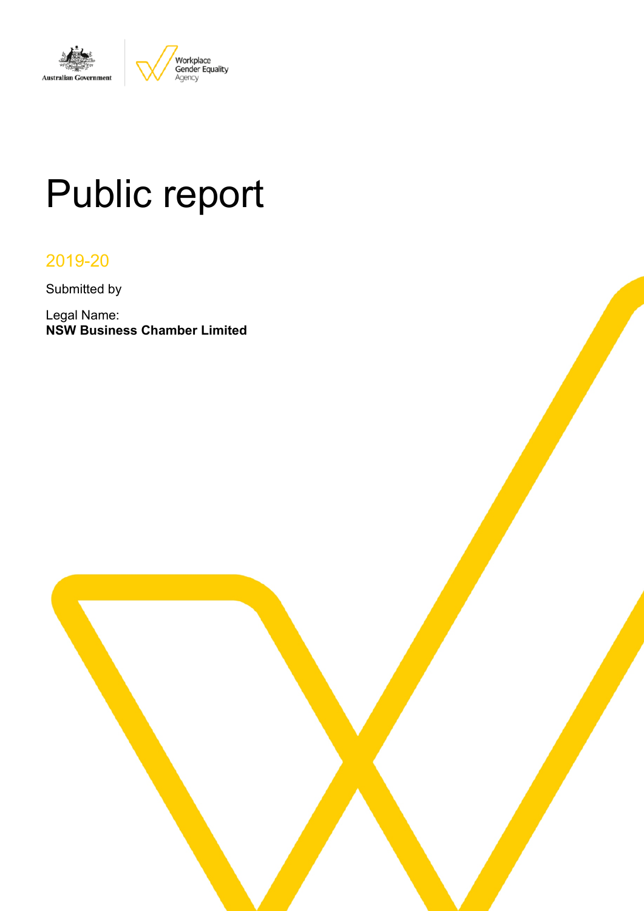

# Public report

# 2019-20

Submitted by

Legal Name: **NSW Business Chamber Limited**

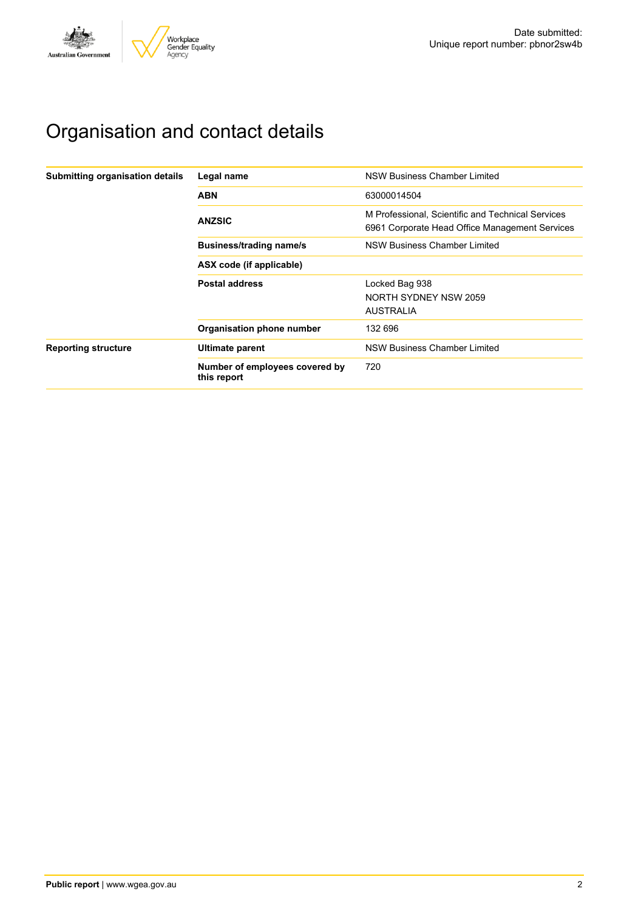

# Organisation and contact details

| Submitting organisation details | Legal name                                    | <b>NSW Business Chamber Limited</b>                                                                 |
|---------------------------------|-----------------------------------------------|-----------------------------------------------------------------------------------------------------|
|                                 | <b>ABN</b>                                    | 63000014504                                                                                         |
|                                 | <b>ANZSIC</b>                                 | M Professional, Scientific and Technical Services<br>6961 Corporate Head Office Management Services |
|                                 | <b>Business/trading name/s</b>                | NSW Business Chamber Limited                                                                        |
|                                 | ASX code (if applicable)                      |                                                                                                     |
|                                 | <b>Postal address</b>                         | Locked Bag 938                                                                                      |
|                                 |                                               | NORTH SYDNEY NSW 2059                                                                               |
|                                 |                                               | <b>AUSTRALIA</b>                                                                                    |
|                                 | Organisation phone number                     | 132 696                                                                                             |
| <b>Reporting structure</b>      | <b>Ultimate parent</b>                        | <b>NSW Business Chamber Limited</b>                                                                 |
|                                 | Number of employees covered by<br>this report | 720                                                                                                 |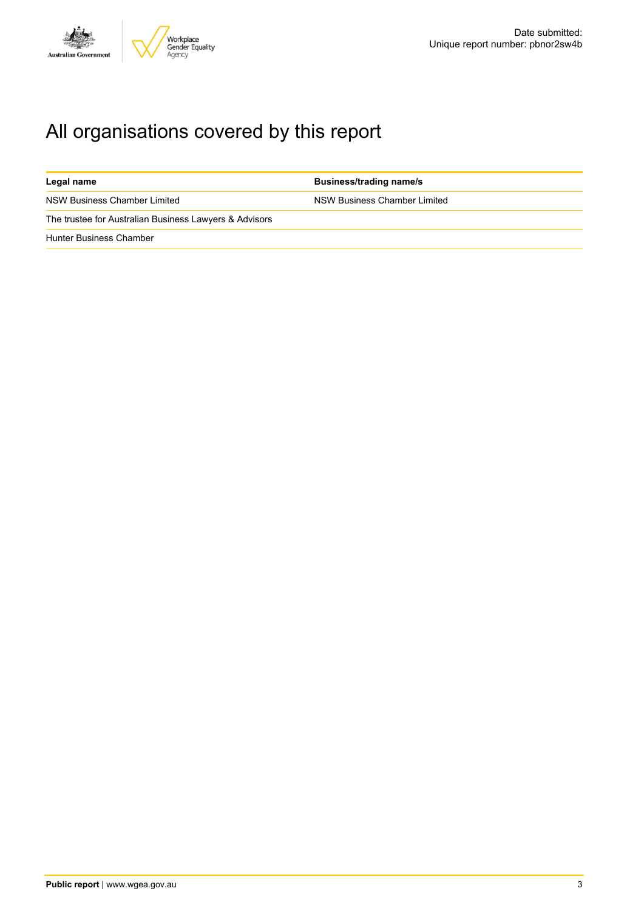

# All organisations covered by this report

| Legal name                                             | <b>Business/trading name/s</b> |
|--------------------------------------------------------|--------------------------------|
| NSW Business Chamber Limited                           | NSW Business Chamber Limited   |
| The trustee for Australian Business Lawyers & Advisors |                                |
| <b>Hunter Business Chamber</b>                         |                                |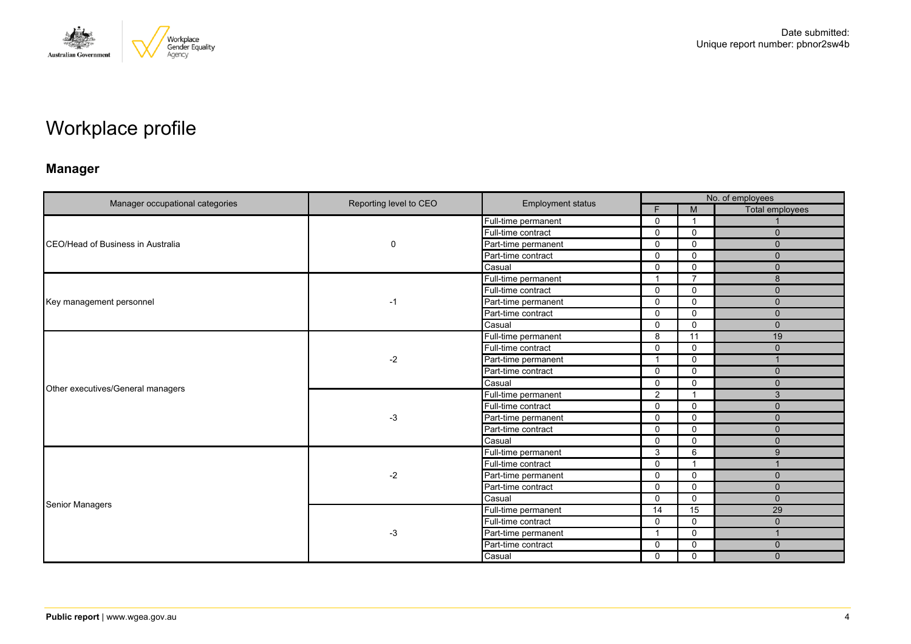

# Workplace profile

# **Manager**

| Manager occupational categories           |                        | <b>Employment status</b> |             | No. of employees |                 |  |  |
|-------------------------------------------|------------------------|--------------------------|-------------|------------------|-----------------|--|--|
|                                           | Reporting level to CEO |                          | F.          | M                | Total employees |  |  |
|                                           |                        | Full-time permanent      | $\mathbf 0$ |                  |                 |  |  |
|                                           |                        | Full-time contract       | $\Omega$    | $\mathbf 0$      | $\mathbf{0}$    |  |  |
| <b>ICEO/Head of Business in Australia</b> | $\mathbf 0$            | Part-time permanent      | 0           | $\Omega$         | $\Omega$        |  |  |
|                                           |                        | Part-time contract       | $\Omega$    | $\mathbf{0}$     | $\mathbf{0}$    |  |  |
|                                           |                        | Casual                   | $\Omega$    | $\mathbf 0$      | $\mathbf{0}$    |  |  |
|                                           |                        | Full-time permanent      | -1          | $\overline{7}$   | $\mathbf{8}$    |  |  |
|                                           |                        | Full-time contract       | $\Omega$    | $\Omega$         | $\mathbf{0}$    |  |  |
| Key management personnel                  | $-1$                   | Part-time permanent      | 0           | $\mathbf 0$      | $\mathbf{0}$    |  |  |
|                                           |                        | Part-time contract       | 0           | $\mathbf{0}$     | $\Omega$        |  |  |
|                                           |                        | Casual                   | $\mathbf 0$ | $\mathbf 0$      | $\mathbf{0}$    |  |  |
|                                           | $-2$                   | Full-time permanent      | 8           | 11               | 19              |  |  |
|                                           |                        | Full-time contract       | 0           | $\mathbf 0$      | $\Omega$        |  |  |
|                                           |                        | Part-time permanent      | 1           | $\mathbf 0$      |                 |  |  |
|                                           |                        | Part-time contract       | 0           | $\mathbf 0$      | $\mathbf{0}$    |  |  |
|                                           |                        | Casual                   | $\Omega$    | $\mathbf{0}$     | $\Omega$        |  |  |
| Other executives/General managers         | $-3$                   | Full-time permanent      | 2           |                  | 3               |  |  |
|                                           |                        | Full-time contract       | $\Omega$    | 0                | $\mathbf{0}$    |  |  |
|                                           |                        | Part-time permanent      | $\Omega$    | $\Omega$         | $\Omega$        |  |  |
|                                           |                        | Part-time contract       | $\Omega$    | $\mathbf 0$      | $\mathbf{0}$    |  |  |
|                                           |                        | Casual                   | $\Omega$    | $\mathbf 0$      | $\mathbf{0}$    |  |  |
|                                           |                        | Full-time permanent      | 3           | 6                | 9               |  |  |
|                                           |                        | Full-time contract       | 0           |                  |                 |  |  |
|                                           | $-2$                   | Part-time permanent      | $\Omega$    | $\Omega$         | $\Omega$        |  |  |
|                                           |                        | Part-time contract       | $\Omega$    | $\mathbf 0$      | $\mathbf{0}$    |  |  |
| <b>Senior Managers</b>                    |                        | Casual                   | 0           | $\mathbf 0$      | $\mathbf{0}$    |  |  |
|                                           |                        | Full-time permanent      | 14          | 15               | 29              |  |  |
|                                           |                        | Full-time contract       | $\Omega$    | $\mathbf 0$      | $\mathbf{0}$    |  |  |
|                                           | $-3$                   | Part-time permanent      | 1           | $\mathbf 0$      |                 |  |  |
|                                           |                        | Part-time contract       | 0           | $\mathbf 0$      | $\mathbf{0}$    |  |  |
|                                           |                        | Casual                   | $\mathbf 0$ | $\mathbf 0$      | $\mathbf{0}$    |  |  |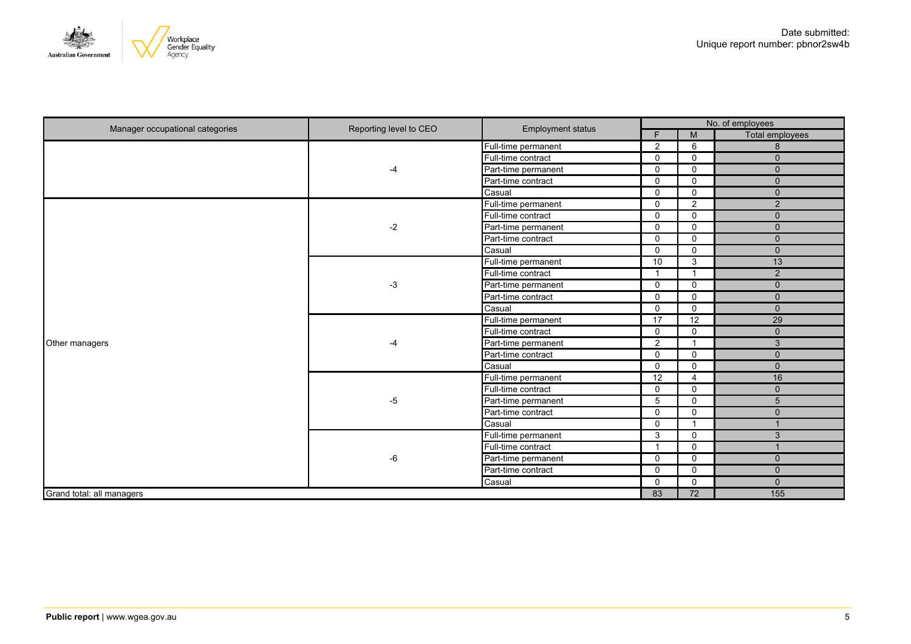

| Manager occupational categories | Reporting level to CEO | Employment status   | No. of employees     |                         |                 |  |
|---------------------------------|------------------------|---------------------|----------------------|-------------------------|-----------------|--|
|                                 |                        |                     | F.                   | M                       | Total employees |  |
|                                 |                        | Full-time permanent | 2                    | 6                       | 8               |  |
|                                 |                        | Full-time contract  | $\mathbf 0$          | $\Omega$                | $\mathbf{0}$    |  |
|                                 | -4                     | Part-time permanent | $\mathbf 0$          | $\Omega$                | $\mathbf{0}$    |  |
|                                 |                        | Part-time contract  | $\Omega$             | $\Omega$                | $\mathbf 0$     |  |
|                                 |                        | Casual              | 0                    | $\Omega$                | $\mathbf{0}$    |  |
|                                 |                        | Full-time permanent | $\mathbf 0$          | $\overline{2}$          | $\overline{2}$  |  |
|                                 |                        | Full-time contract  | $\mathbf 0$          | $\mathbf 0$             | $\mathbf{0}$    |  |
|                                 | $-2$                   | Part-time permanent | $\mathbf 0$          | $\mathbf 0$             | $\mathbf 0$     |  |
|                                 |                        | Part-time contract  | $\mathbf 0$          | $\mathbf 0$             | $\mathbf 0$     |  |
|                                 |                        | Casual              | $\mathbf 0$          | $\mathbf{0}$            | $\mathbf{0}$    |  |
|                                 | $-3$                   | Full-time permanent | 10                   | 3                       | 13              |  |
|                                 |                        | Full-time contract  | $\blacktriangleleft$ | $\overline{\mathbf{1}}$ | $\overline{2}$  |  |
|                                 |                        | Part-time permanent | 0                    | $\mathbf 0$             | $\mathbf 0$     |  |
|                                 |                        | Part-time contract  | $\mathbf 0$          | $\mathbf 0$             | $\mathbf 0$     |  |
|                                 |                        | Casual              | $\mathbf 0$          | $\mathbf 0$             | $\mathbf 0$     |  |
|                                 | -4                     | Full-time permanent | $\overline{17}$      | $\overline{12}$         | $\overline{29}$ |  |
|                                 |                        | Full-time contract  | $\mathbf 0$          | $\mathbf 0$             | $\mathbf{0}$    |  |
| Other managers                  |                        | Part-time permanent | $\overline{2}$       | $\overline{1}$          | $\mathbf{3}$    |  |
|                                 |                        | Part-time contract  | $\mathbf 0$          | $\Omega$                | $\mathbf{0}$    |  |
|                                 |                        | Casual              | 0                    | $\mathbf 0$             | $\mathbf 0$     |  |
|                                 |                        | Full-time permanent | 12                   | $\overline{4}$          | 16              |  |
|                                 |                        | Full-time contract  | 0                    | $\mathbf 0$             | $\mathbf 0$     |  |
|                                 | $-5$                   | Part-time permanent | 5                    | $\mathbf 0$             | 5               |  |
|                                 |                        | Part-time contract  | $\mathbf 0$          | $\mathbf 0$             | $\mathbf{0}$    |  |
|                                 |                        | Casual              | $\mathbf 0$          | $\overline{1}$          |                 |  |
|                                 |                        | Full-time permanent | 3                    | $\mathbf{0}$            | $\mathbf{3}$    |  |
|                                 |                        | Full-time contract  | $\overline{1}$       | $\mathbf 0$             |                 |  |
|                                 | $-6$                   | Part-time permanent | $\mathbf 0$          | $\mathbf 0$             | $\mathbf{0}$    |  |
|                                 |                        | Part-time contract  | $\mathbf 0$          | $\mathbf 0$             | $\mathbf{0}$    |  |
|                                 |                        | Casual              | $\mathbf 0$          | $\mathbf 0$             | $\mathbf{0}$    |  |
| Grand total: all managers       |                        |                     | 83                   | $\overline{72}$         | 155             |  |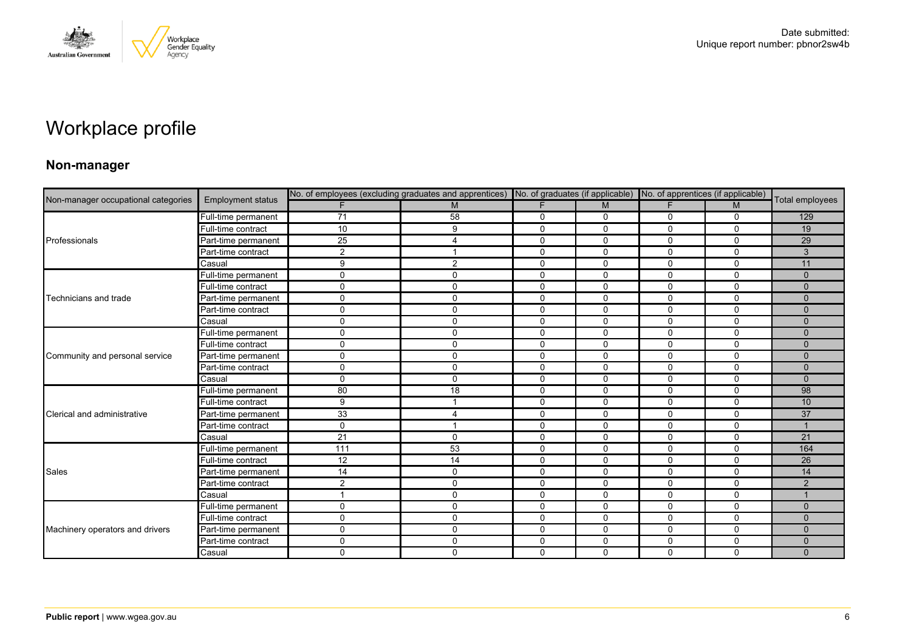

# Workplace profile

### **Non-manager**

| Non-manager occupational categories |                          |                |                         | No. of employees (excluding graduates and apprentices) No. of graduates (if applicable) No. of apprentices (if applicable) |              |              |              |                 |
|-------------------------------------|--------------------------|----------------|-------------------------|----------------------------------------------------------------------------------------------------------------------------|--------------|--------------|--------------|-----------------|
|                                     | <b>Employment status</b> |                | M                       | F                                                                                                                          | M            | F.           | M            | Total employees |
|                                     | Full-time permanent      | 71             | 58                      | $\mathbf 0$                                                                                                                | $\mathbf 0$  | 0            | $\mathbf 0$  | 129             |
|                                     | Full-time contract       | 10             | 9                       | $\mathbf 0$                                                                                                                | 0            | 0            | $\mathbf 0$  | 19              |
| Professionals                       | Part-time permanent      | 25             | 4                       | $\mathbf{0}$                                                                                                               | $\Omega$     | $\Omega$     | $\Omega$     | 29              |
|                                     | Part-time contract       | $\overline{2}$ | -1                      | $\mathbf 0$                                                                                                                | 0            | 0            | $\mathbf 0$  | 3               |
|                                     | Casual                   | 9              | 2                       | $\mathbf 0$                                                                                                                | 0            | 0            | $\mathbf 0$  | 11              |
|                                     | Full-time permanent      | $\Omega$       | 0                       | $\mathbf 0$                                                                                                                | 0            | 0            | $\mathbf 0$  | $\Omega$        |
|                                     | Full-time contract       | $\mathbf{0}$   | 0                       | 0                                                                                                                          | $\mathbf 0$  | 0            | $\mathbf 0$  | $\Omega$        |
| Technicians and trade               | Part-time permanent      | $\Omega$       | $\mathbf 0$             | $\mathbf 0$                                                                                                                | $\mathbf{0}$ | $\mathbf{0}$ | $\Omega$     | $\Omega$        |
|                                     | Part-time contract       | $\Omega$       | 0                       | $\mathbf 0$                                                                                                                | 0            | 0            | $\mathbf 0$  | $\Omega$        |
|                                     | Casual                   | $\Omega$       | $\mathbf 0$             | $\mathbf 0$                                                                                                                | $\mathbf 0$  | $\mathbf 0$  | $\mathbf 0$  | $\Omega$        |
|                                     | Full-time permanent      | $\Omega$       | $\mathbf 0$             | $\mathbf{0}$                                                                                                               | $\mathbf{0}$ | $\Omega$     | $\Omega$     | $\Omega$        |
|                                     | Full-time contract       | $\Omega$       | $\mathbf{0}$            | $\mathbf 0$                                                                                                                | $\mathbf{0}$ | 0            | $\mathbf 0$  | $\Omega$        |
| Community and personal service      | Part-time permanent      | $\Omega$       | $\pmb{0}$               | $\mathbf 0$                                                                                                                | $\mathbf 0$  | $\mathbf 0$  | $\mathbf 0$  | $\Omega$        |
|                                     | Part-time contract       | $\Omega$       | $\mathbf 0$             | $\mathbf 0$                                                                                                                | $\mathbf 0$  | 0            | $\mathbf 0$  | $\mathbf{0}$    |
|                                     | Casual                   | $\Omega$       | $\mathbf{0}$            | $\mathbf 0$                                                                                                                | $\Omega$     | 0            | $\Omega$     | $\Omega$        |
|                                     | Full-time permanent      | 80             | 18                      | $\mathbf 0$                                                                                                                | $\mathbf 0$  | 0            | $\mathbf 0$  | 98              |
|                                     | Full-time contract       | 9              |                         | $\mathbf 0$                                                                                                                | $\mathbf 0$  | 0            | $\mathbf 0$  | 10              |
| Clerical and administrative         | Part-time permanent      | 33             | 4                       | $\mathbf 0$                                                                                                                | $\Omega$     | 0            | $\mathbf{0}$ | 37              |
|                                     | Part-time contract       | $\Omega$       | $\overline{\mathbf{1}}$ | $\mathbf 0$                                                                                                                | 0            | 0            | $\mathbf 0$  |                 |
|                                     | Casual                   | 21             | $\mathbf 0$             | $\mathbf 0$                                                                                                                | $\mathbf 0$  | $\mathbf 0$  | $\mathbf 0$  | 21              |
|                                     | Full-time permanent      | 111            | 53                      | $\mathbf 0$                                                                                                                | $\Omega$     | $\Omega$     | $\Omega$     | 164             |
|                                     | Full-time contract       | 12             | 14                      | $\mathbf 0$                                                                                                                | 0            | $\Omega$     | $\mathbf 0$  | 26              |
| Sales                               | Part-time permanent      | 14             | 0                       | 0                                                                                                                          | 0            | 0            | 0            | 14              |
|                                     | Part-time contract       | 2              | $\mathbf 0$             | $\mathbf 0$                                                                                                                | $\Omega$     | $\Omega$     | $\mathbf{0}$ | 2               |
|                                     | Casual                   |                | $\mathbf 0$             | $\mathbf 0$                                                                                                                | 0            | 0            | $\mathbf 0$  |                 |
|                                     | Full-time permanent      | $\Omega$       | $\mathbf 0$             | $\mathbf 0$                                                                                                                | $\mathbf 0$  | 0            | $\mathbf 0$  | $\mathbf{0}$    |
|                                     | Full-time contract       | $\Omega$       | $\mathbf 0$             | $\mathbf 0$                                                                                                                | $\mathbf 0$  | $\Omega$     | $\mathbf 0$  | $\Omega$        |
| Machinery operators and drivers     | Part-time permanent      | $\Omega$       | $\mathbf 0$             | $\Omega$                                                                                                                   | $\Omega$     | $\Omega$     | $\Omega$     | $\Omega$        |
|                                     | Part-time contract       | $\Omega$       | 0                       | 0                                                                                                                          | 0            | 0            | 0            | $\mathbf{0}$    |
|                                     | Casual                   | $\Omega$       | $\Omega$                | $\Omega$                                                                                                                   | $\mathbf{0}$ | $\Omega$     | $\mathbf 0$  | $\Omega$        |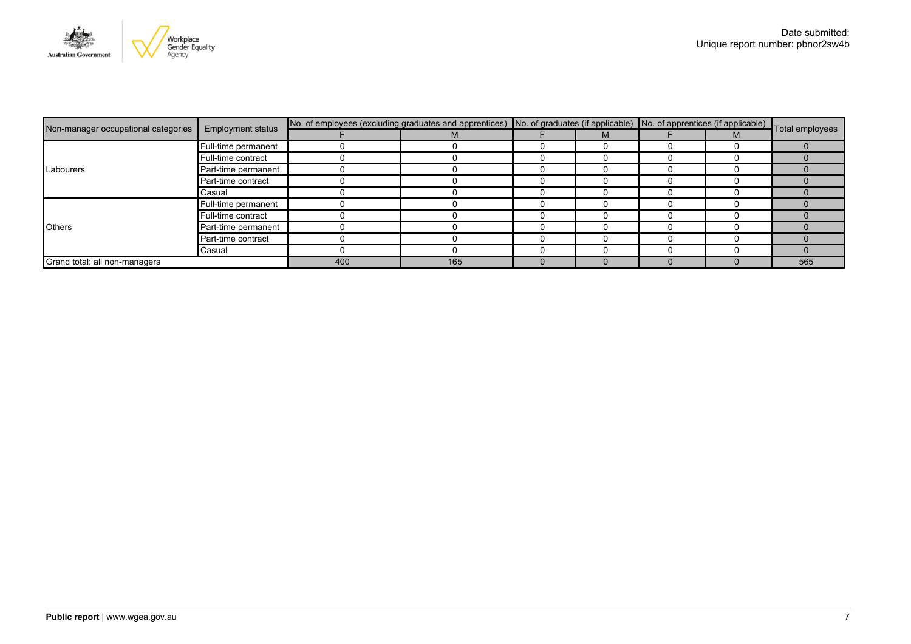

|                                     | <b>Employment status</b> | No. of employees (excluding graduates and apprentices) No. of graduates (if applicable) No. of apprentices (if applicable) Total employees |     |  |  |  |  |     |
|-------------------------------------|--------------------------|--------------------------------------------------------------------------------------------------------------------------------------------|-----|--|--|--|--|-----|
| Non-manager occupational categories |                          |                                                                                                                                            | M   |  |  |  |  |     |
|                                     | Full-time permanent      |                                                                                                                                            |     |  |  |  |  |     |
|                                     | Full-time contract       |                                                                                                                                            |     |  |  |  |  |     |
| Labourers                           | Part-time permanent      |                                                                                                                                            |     |  |  |  |  |     |
|                                     | Part-time contract       |                                                                                                                                            |     |  |  |  |  |     |
|                                     | Casual                   |                                                                                                                                            |     |  |  |  |  |     |
|                                     | Full-time permanent      |                                                                                                                                            |     |  |  |  |  |     |
|                                     | Full-time contract       |                                                                                                                                            |     |  |  |  |  |     |
| <b>Others</b>                       | Part-time permanent      |                                                                                                                                            |     |  |  |  |  |     |
|                                     | Part-time contract       |                                                                                                                                            |     |  |  |  |  |     |
|                                     | Casual                   |                                                                                                                                            |     |  |  |  |  |     |
| Grand total: all non-managers       |                          | 400                                                                                                                                        | 165 |  |  |  |  | 565 |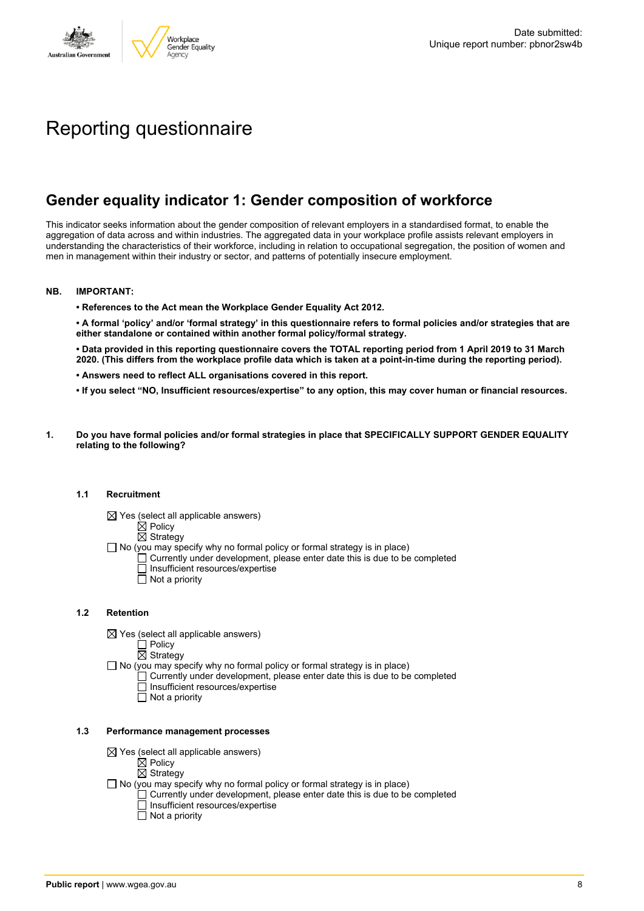

# Reporting questionnaire

# **Gender equality indicator 1: Gender composition of workforce**

This indicator seeks information about the gender composition of relevant employers in a standardised format, to enable the aggregation of data across and within industries. The aggregated data in your workplace profile assists relevant employers in understanding the characteristics of their workforce, including in relation to occupational segregation, the position of women and men in management within their industry or sector, and patterns of potentially insecure employment.

#### **NB. IMPORTANT:**

**• References to the Act mean the Workplace Gender Equality Act 2012.**

• A formal 'policy' and/or 'formal strategy' in this questionnaire refers to formal policies and/or strategies that are **either standalone or contained within another formal policy/formal strategy.**

• Data provided in this reporting questionnaire covers the TOTAL reporting period from 1 April 2019 to 31 March 2020. (This differs from the workplace profile data which is taken at a point-in-time during the reporting period).

- **• Answers need to reflect ALL organisations covered in this report.**
- . If you select "NO, Insufficient resources/expertise" to any option, this may cover human or financial resources.
- **1. Do you have formal policies and/or formal strategies in place that SPECIFICALLY SUPPORT GENDER EQUALITY relating to the following?**

#### **1.1 Recruitment**

- $\boxtimes$  Yes (select all applicable answers)
	- $\mathbb{\dot{A}}$  Policy
	- $\boxtimes$  Strategy
- No (you may specify why no formal policy or formal strategy is in place)
	- $\Box$  Currently under development, please enter date this is due to be completed
		- $\overline{\Box}$  Insufficient resources/expertise
		- $\Box$  Not a priority

#### **1.2 Retention**

- $\boxtimes$  Yes (select all applicable answers)
	- $\Box$  Policy
	- $\boxtimes$  Strategy
- No (you may specify why no formal policy or formal strategy is in place)
	- $\Box$  Currently under development, please enter date this is due to be completed
		- Insufficient resources/expertise
		- Not a priority

#### **1.3 Performance management processes**

- $\boxtimes$  Yes (select all applicable answers)
	- $\mathbb{\dot{Z}}$  Policy
	- $\boxtimes$  Strategy
- $\Box$  No (you may specify why no formal policy or formal strategy is in place)
	- $\Box$  Currently under development, please enter date this is due to be completed
	- $\Box$  Insufficient resources/expertise
	- $\Box$  Not a priority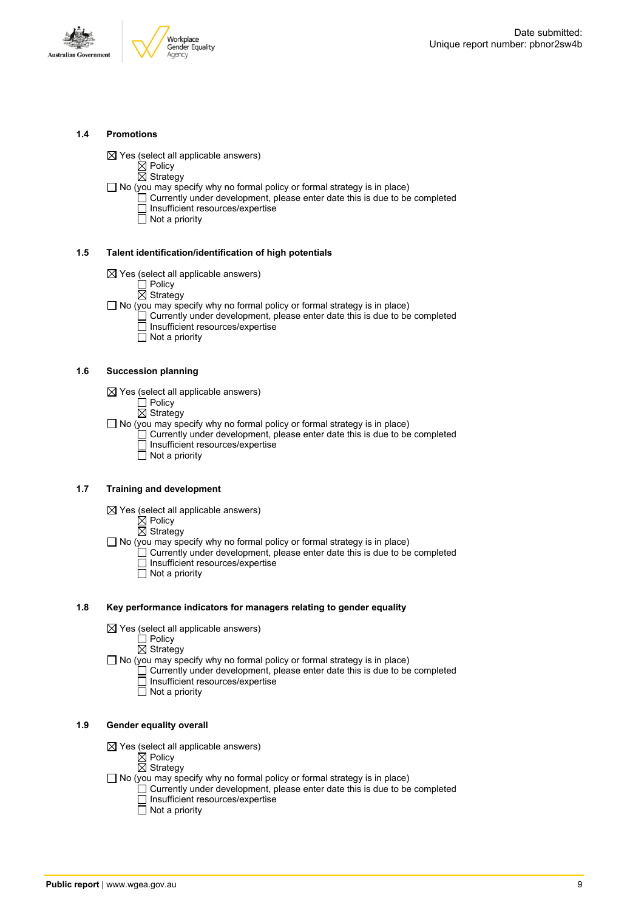

#### **1.4 Promotions**

 $\boxtimes$  Yes (select all applicable answers)

 $\boxtimes$  Policy

 $\overline{\boxtimes}$  Strategy

 $\Box$  No (you may specify why no formal policy or formal strategy is in place)

- $\Box$  Currently under development, please enter date this is due to be completed □ Insufficient resources/expertise
	- $\overline{\Box}$  Not a priority

#### **1.5 Talent identification/identification of high potentials**

- $\boxtimes$  Yes (select all applicable answers)
	- Policy
	- $\overline{\boxtimes}$  Strategy
- $\Box$  No (you may specify why no formal policy or formal strategy is in place)
	- Currently under development, please enter date this is due to be completed Insufficient resources/expertise
		- $\overline{\Box}$  Not a priority

#### **1.6 Succession planning**

- $\boxtimes$  Yes (select all applicable answers)
	- $\Box$  Policy
	- $\overline{\boxtimes}$  Strategy

 $\Box$  No (you may specify why no formal policy or formal strategy is in place)

- $\Box$  Currently under development, please enter date this is due to be completed Insufficient resources/expertise
- Not a priority

#### **1.7 Training and development**

- $\boxtimes$  Yes (select all applicable answers)
	- $\mathbb{\dot{Z}}$  Policy
		- $\boxtimes$  Strategy

 $\Box$  No (you may specify why no formal policy or formal strategy is in place)

- Currently under development, please enter date this is due to be completed Insufficient resources/expertise  $\Box$  Not a priority
	-

#### **1.8 Key performance indicators for managers relating to gender equality**

- $\boxtimes$  Yes (select all applicable answers)
	- □ Policy
	- $\boxtimes$  Strategy

 $\Box$  No (you may specify why no formal policy or formal strategy is in place)

- $\Box$  Currently under development, please enter date this is due to be completed Insufficient resources/expertise
	- Not a priority

#### **1.9 Gender equality overall**

- $\boxtimes$  Yes (select all applicable answers)
	- $\mathbb{\dot{A}}$  Policy
	- $\boxtimes$  Strategy
- $\Box$  No (you may specify why no formal policy or formal strategy is in place)
	- $\Box$  Currently under development, please enter date this is due to be completed □ Insufficient resources/expertise
		- $\Box$  Not a priority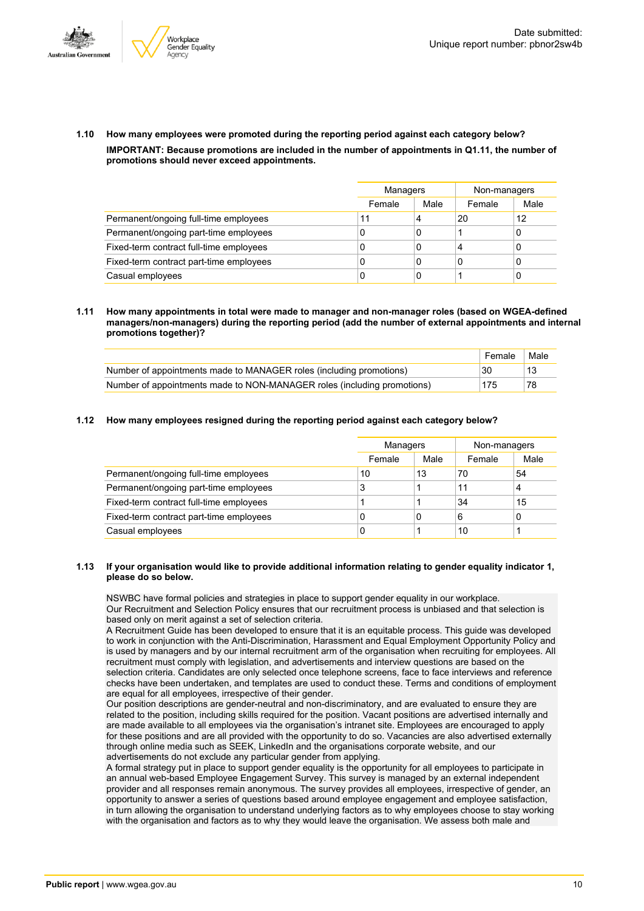



**1.10 How many employees were promoted during the reporting period against each category below? IMPORTANT: Because promotions are included in the number of appointments in Q1.11, the number of promotions should never exceed appointments.**

|                                         |        | Managers |        | Non-managers |
|-----------------------------------------|--------|----------|--------|--------------|
|                                         | Female | Male     | Female | Male         |
| Permanent/ongoing full-time employees   | 11     | 4        | 20     | 12           |
| Permanent/ongoing part-time employees   | 0      | 0        |        |              |
| Fixed-term contract full-time employees | 0      | 0        | 4      |              |
| Fixed-term contract part-time employees | 0      | 0        | 0      |              |
| Casual employees                        | 0      | 0        |        |              |

**1.11 How many appointments in total were made to manager and non-manager roles (based on WGEA-defined managers/non-managers) during the reporting period (add the number of external appointments and internal promotions together)?**

|                                                                         | Female | Male |
|-------------------------------------------------------------------------|--------|------|
| Number of appointments made to MANAGER roles (including promotions)     | 30     |      |
| Number of appointments made to NON-MANAGER roles (including promotions) | 175    | 78   |

**1.12 How many employees resigned during the reporting period against each category below?**

|                                         | Managers |      | Non-managers |      |
|-----------------------------------------|----------|------|--------------|------|
|                                         | Female   | Male | Female       | Male |
| Permanent/ongoing full-time employees   | 10       | 13   | 70           | 54   |
| Permanent/ongoing part-time employees   | 3        |      | 11           | 4    |
| Fixed-term contract full-time employees |          |      | 34           | 15   |
| Fixed-term contract part-time employees | 0        | 0    | 6            | 0    |
| Casual employees                        | 0        |      | 10           |      |

#### **1.13 If your organisation would like to provide additional information relating to gender equality indicator 1, please do so below.**

NSWBC have formal policies and strategies in place to support gender equality in our workplace. Our Recruitment and Selection Policy ensures that our recruitment process is unbiased and that selection is based only on merit against a set of selection criteria.

A Recruitment Guide has been developed to ensure that it is an equitable process. This guide was developed to work in conjunction with the Anti-Discrimination, Harassment and Equal Employment Opportunity Policy and is used by managers and by our internal recruitment arm of the organisation when recruiting for employees. All recruitment must comply with legislation, and advertisements and interview questions are based on the selection criteria. Candidates are only selected once telephone screens, face to face interviews and reference

checks have been undertaken, and templates are used to conduct these. Terms and conditions of employment are equal for all employees, irrespective of their gender.

Our position descriptions are gender-neutral and non-discriminatory, and are evaluated to ensure they are related to the position, including skills required for the position. Vacant positions are advertised internally and are made available to all employees via the organisation's intranet site. Employees are encouraged to apply for these positions and are all provided with the opportunity to do so. Vacancies are also advertised externally through online media such as SEEK, LinkedIn and the organisations corporate website, and our advertisements do not exclude any particular gender from applying.

A formal strategy put in place to support gender equality is the opportunity for all employees to participate in an annual web-based Employee Engagement Survey. This survey is managed by an external independent provider and all responses remain anonymous. The survey provides all employees, irrespective of gender, an opportunity to answer a series of questions based around employee engagement and employee satisfaction, in turn allowing the organisation to understand underlying factors as to why employees choose to stay working with the organisation and factors as to why they would leave the organisation. We assess both male and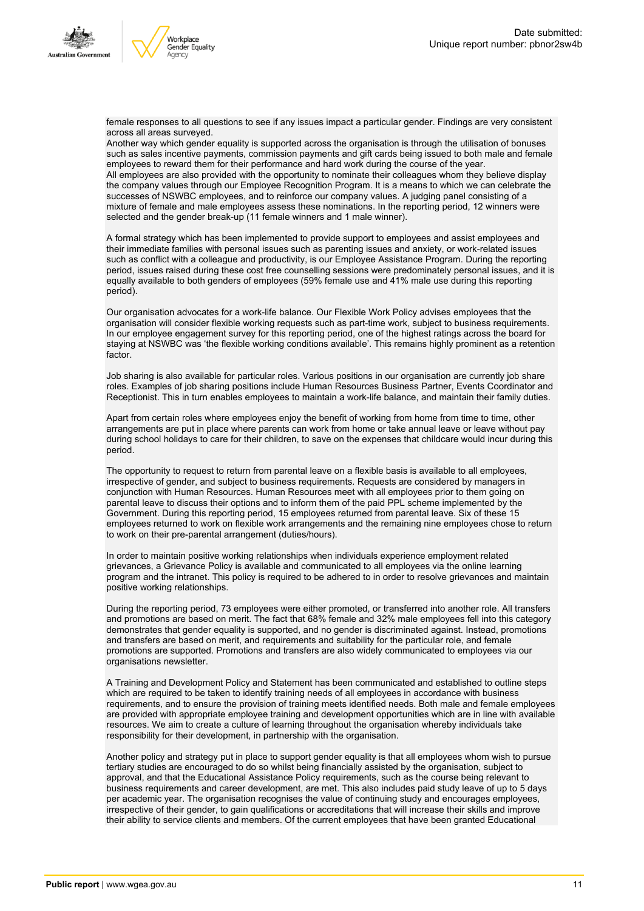



female responses to all questions to see if any issues impact a particular gender. Findings are very consistent across all areas surveyed.

Another way which gender equality is supported across the organisation is through the utilisation of bonuses such as sales incentive payments, commission payments and gift cards being issued to both male and female employees to reward them for their performance and hard work during the course of the year. All employees are also provided with the opportunity to nominate their colleagues whom they believe display the company values through our Employee Recognition Program. It is a means to which we can celebrate the successes of NSWBC employees, and to reinforce our company values. A judging panel consisting of a mixture of female and male employees assess these nominations. In the reporting period, 12 winners were selected and the gender break-up (11 female winners and 1 male winner).

A formal strategy which has been implemented to provide support to employees and assist employees and their immediate families with personal issues such as parenting issues and anxiety, or work-related issues such as conflict with a colleague and productivity, is our Employee Assistance Program. During the reporting period, issues raised during these cost free counselling sessions were predominately personal issues, and it is equally available to both genders of employees (59% female use and 41% male use during this reporting period).

Our organisation advocates for a work-life balance. Our Flexible Work Policy advises employees that the organisation will consider flexible working requests such as part-time work, subject to business requirements. In our employee engagement survey for this reporting period, one of the highest ratings across the board for staying at NSWBC was 'the flexible working conditions available'. This remains highly prominent as a retention factor.

Job sharing is also available for particular roles. Various positions in our organisation are currently job share roles. Examples of job sharing positions include Human Resources Business Partner, Events Coordinator and Receptionist. This in turn enables employees to maintain a work-life balance, and maintain their family duties.

Apart from certain roles where employees enjoy the benefit of working from home from time to time, other arrangements are put in place where parents can work from home or take annual leave or leave without pay during school holidays to care for their children, to save on the expenses that childcare would incur during this period.

The opportunity to request to return from parental leave on a flexible basis is available to all employees, irrespective of gender, and subject to business requirements. Requests are considered by managers in conjunction with Human Resources. Human Resources meet with all employees prior to them going on parental leave to discuss their options and to inform them of the paid PPL scheme implemented by the Government. During this reporting period, 15 employees returned from parental leave. Six of these 15 employees returned to work on flexible work arrangements and the remaining nine employees chose to return to work on their pre-parental arrangement (duties/hours).

In order to maintain positive working relationships when individuals experience employment related grievances, a Grievance Policy is available and communicated to all employees via the online learning program and the intranet. This policy is required to be adhered to in order to resolve grievances and maintain positive working relationships.

During the reporting period, 73 employees were either promoted, or transferred into another role. All transfers and promotions are based on merit. The fact that 68% female and 32% male employees fell into this category demonstrates that gender equality is supported, and no gender is discriminated against. Instead, promotions and transfers are based on merit, and requirements and suitability for the particular role, and female promotions are supported. Promotions and transfers are also widely communicated to employees via our organisations newsletter.

A Training and Development Policy and Statement has been communicated and established to outline steps which are required to be taken to identify training needs of all employees in accordance with business requirements, and to ensure the provision of training meets identified needs. Both male and female employees are provided with appropriate employee training and development opportunities which are in line with available resources. We aim to create a culture of learning throughout the organisation whereby individuals take responsibility for their development, in partnership with the organisation.

Another policy and strategy put in place to support gender equality is that all employees whom wish to pursue tertiary studies are encouraged to do so whilst being financially assisted by the organisation, subject to approval, and that the Educational Assistance Policy requirements, such as the course being relevant to business requirements and career development, are met. This also includes paid study leave of up to 5 days per academic year. The organisation recognises the value of continuing study and encourages employees, irrespective of their gender, to gain qualifications or accreditations that will increase their skills and improve their ability to service clients and members. Of the current employees that have been granted Educational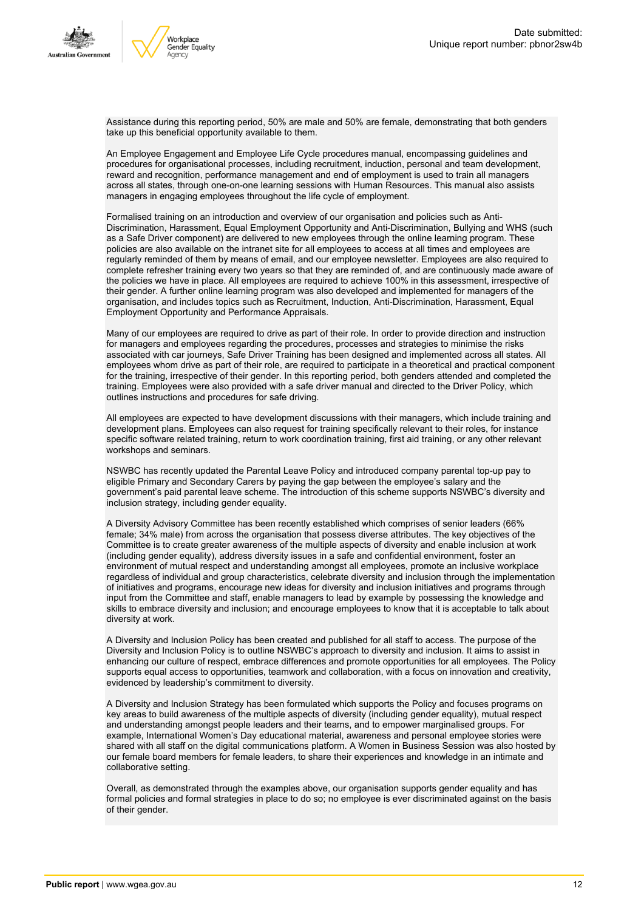



Assistance during this reporting period, 50% are male and 50% are female, demonstrating that both genders take up this beneficial opportunity available to them.

An Employee Engagement and Employee Life Cycle procedures manual, encompassing guidelines and procedures for organisational processes, including recruitment, induction, personal and team development, reward and recognition, performance management and end of employment is used to train all managers across all states, through one-on-one learning sessions with Human Resources. This manual also assists managers in engaging employees throughout the life cycle of employment.

Formalised training on an introduction and overview of our organisation and policies such as Anti-Discrimination, Harassment, Equal Employment Opportunity and Anti-Discrimination, Bullying and WHS (such as a Safe Driver component) are delivered to new employees through the online learning program. These policies are also available on the intranet site for all employees to access at all times and employees are regularly reminded of them by means of email, and our employee newsletter. Employees are also required to complete refresher training every two years so that they are reminded of, and are continuously made aware of the policies we have in place. All employees are required to achieve 100% in this assessment, irrespective of their gender. A further online learning program was also developed and implemented for managers of the organisation, and includes topics such as Recruitment, Induction, Anti-Discrimination, Harassment, Equal Employment Opportunity and Performance Appraisals.

Many of our employees are required to drive as part of their role. In order to provide direction and instruction for managers and employees regarding the procedures, processes and strategies to minimise the risks associated with car journeys, Safe Driver Training has been designed and implemented across all states. All employees whom drive as part of their role, are required to participate in a theoretical and practical component for the training, irrespective of their gender. In this reporting period, both genders attended and completed the training. Employees were also provided with a safe driver manual and directed to the Driver Policy, which outlines instructions and procedures for safe driving.

All employees are expected to have development discussions with their managers, which include training and development plans. Employees can also request for training specifically relevant to their roles, for instance specific software related training, return to work coordination training, first aid training, or any other relevant workshops and seminars.

NSWBC has recently updated the Parental Leave Policy and introduced company parental top-up pay to eligible Primary and Secondary Carers by paying the gap between the employee's salary and the government's paid parental leave scheme. The introduction of this scheme supports NSWBC's diversity and inclusion strategy, including gender equality.

A Diversity Advisory Committee has been recently established which comprises of senior leaders (66% female; 34% male) from across the organisation that possess diverse attributes. The key objectives of the Committee is to create greater awareness of the multiple aspects of diversity and enable inclusion at work (including gender equality), address diversity issues in a safe and confidential environment, foster an environment of mutual respect and understanding amongst all employees, promote an inclusive workplace regardless of individual and group characteristics, celebrate diversity and inclusion through the implementation of initiatives and programs, encourage new ideas for diversity and inclusion initiatives and programs through input from the Committee and staff, enable managers to lead by example by possessing the knowledge and skills to embrace diversity and inclusion; and encourage employees to know that it is acceptable to talk about diversity at work.

A Diversity and Inclusion Policy has been created and published for all staff to access. The purpose of the Diversity and Inclusion Policy is to outline NSWBC's approach to diversity and inclusion. It aims to assist in enhancing our culture of respect, embrace differences and promote opportunities for all employees. The Policy supports equal access to opportunities, teamwork and collaboration, with a focus on innovation and creativity, evidenced by leadership's commitment to diversity.

A Diversity and Inclusion Strategy has been formulated which supports the Policy and focuses programs on key areas to build awareness of the multiple aspects of diversity (including gender equality), mutual respect and understanding amongst people leaders and their teams, and to empower marginalised groups. For example, International Women's Day educational material, awareness and personal employee stories were shared with all staff on the digital communications platform. A Women in Business Session was also hosted by our female board members for female leaders, to share their experiences and knowledge in an intimate and collaborative setting.

Overall, as demonstrated through the examples above, our organisation supports gender equality and has formal policies and formal strategies in place to do so; no employee is ever discriminated against on the basis of their gender.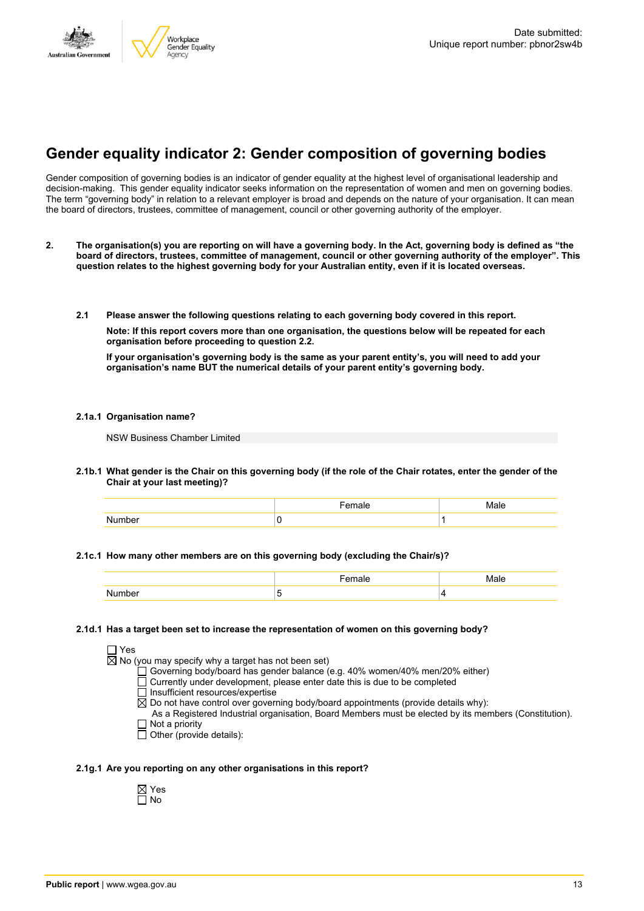

# **Gender equality indicator 2: Gender composition of governing bodies**

Gender composition of governing bodies is an indicator of gender equality at the highest level of organisational leadership and decision-making. This gender equality indicator seeks information on the representation of women and men on governing bodies. The term "governing body" in relation to a relevant employer is broad and depends on the nature of your organisation. It can mean the board of directors, trustees, committee of management, council or other governing authority of the employer.

- 2. The organisation(s) you are reporting on will have a governing body. In the Act, governing body is defined as "the board of directors, trustees, committee of management, council or other governing authority of the employer". This question relates to the highest governing body for your Australian entity, even if it is located overseas.
	- **2.1 Please answer the following questions relating to each governing body covered in this report.**

**Note: If this report covers more than one organisation, the questions below will be repeated for each organisation before proceeding to question 2.2.**

If your organisation's governing body is the same as your parent entity's, you will need to add your **organisation's name BUT the numerical details of your parent entity's governing body.**

#### **2.1a.1 Organisation name?**

NSW Business Chamber Limited

2.1b.1 What gender is the Chair on this governing body (if the role of the Chair rotates, enter the gender of the **Chair at your last meeting)?**

| ⊶י |  |
|----|--|

#### **2.1c.1 How many other members are on this governing body (excluding the Chair/s)?**

#### **2.1d.1 Has a target been set to increase the representation of women on this governing body?**

| □ Yes |                                                                                                       |
|-------|-------------------------------------------------------------------------------------------------------|
|       | $\boxtimes$ No (you may specify why a target has not been set)                                        |
|       | □ Governing body/board has gender balance (e.g. 40% women/40% men/20% either)                         |
|       | □ Currently under development, please enter date this is due to be completed                          |
|       | □ Insufficient resources/expertise                                                                    |
|       | $\boxtimes$ Do not have control over governing body/board appointments (provide details why):         |
|       | As a Registered Industrial organisation, Board Members must be elected by its members (Constitution). |
|       | $\Box$ Not a priority                                                                                 |
|       | $\Box$ Other (provide details):                                                                       |
|       |                                                                                                       |

#### **2.1g.1 Are you reporting on any other organisations in this report?**

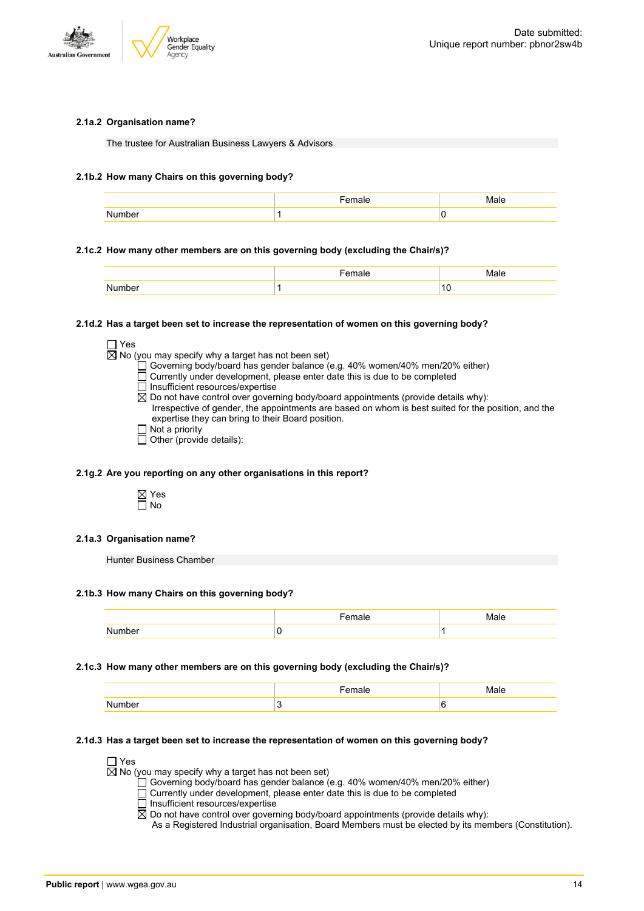

#### **2.1a.2 Organisation name?**

The trustee for Australian Business Lawyers & Advisors

#### **2.1b.2 How many Chairs on this governing body?**

|         | . | - 4 |
|---------|---|-----|
| ו ⊶ו זו |   | u   |

#### **2.1c.2 How many other members are on this governing body (excluding the Chair/s)?**

|        | Female | Male                   |
|--------|--------|------------------------|
| Number |        | $\overline{10}$<br>1 U |

#### **2.1d.2 Has a target been set to increase the representation of women on this governing body?**

| $\Box$ Yes |                                                                                                     |
|------------|-----------------------------------------------------------------------------------------------------|
|            | $\boxtimes$ No (you may specify why a target has not been set)                                      |
|            | □ Governing body/board has gender balance (e.g. 40% women/40% men/20% either)                       |
|            | □ Currently under development, please enter date this is due to be completed                        |
|            | $\Box$ Insufficient resources/expertise                                                             |
|            | $\boxtimes$ Do not have control over governing body/board appointments (provide details why):       |
|            | Irrespective of gender, the appointments are based on whom is best suited for the position, and the |
|            | expertise they can bring to their Board position.                                                   |
|            | $\Box$ Not a priority                                                                               |
|            | $\Box$ Other (provide details):                                                                     |

#### **2.1g.2 Are you reporting on any other organisations in this report?**



#### **2.1a.3 Organisation name?**

Hunter Business Chamber

#### **2.1b.3 How many Chairs on this governing body?**

|                  | $-$ |  |
|------------------|-----|--|
| мı<br>,,,,<br>⊶ו |     |  |

#### **2.1c.3 How many other members are on this governing body (excluding the Chair/s)?**

|        | ----<br>emale |  |
|--------|---------------|--|
| Number |               |  |

#### **2.1d.3 Has a target been set to increase the representation of women on this governing body?**

□ Yes

 $\overline{\boxtimes}$  No (you may specify why a target has not been set)

Governing body/board has gender balance (e.g. 40% women/40% men/20% either)

- $\overline{\Box}$  Currently under development, please enter date this is due to be completed
- □ Insufficient resources/expertise

 $\overline{R}$  Do not have control over governing body/board appointments (provide details why):

As a Registered Industrial organisation, Board Members must be elected by its members (Constitution).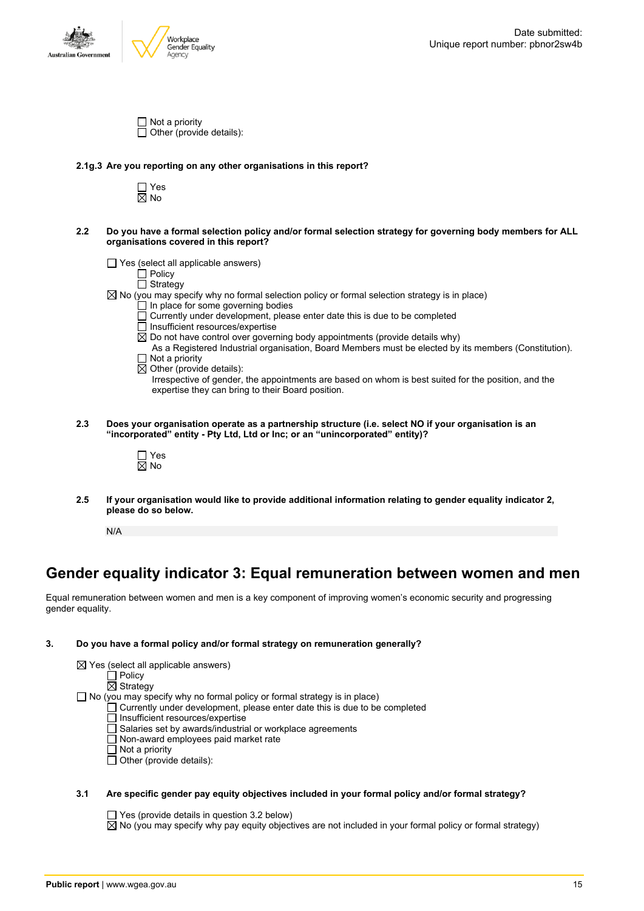



| $\Box$ Not a priority           |
|---------------------------------|
| $\Box$ Other (provide details): |

#### **2.1g.3 Are you reporting on any other organisations in this report?**

□ Yes  $\overline{\boxtimes}$  No

- 2.2 Do you have a formal selection policy and/or formal selection strategy for governing body members for ALL **organisations covered in this report?**
	- $\Box$  Yes (select all applicable answers)

Policy

- Strategy  $\boxtimes$  No (you may specify why no formal selection policy or formal selection strategy is in place)
	- In place for some governing bodies
		- Currently under development, please enter date this is due to be completed
		- Insufficient resources/expertise
	- $\overline{\boxtimes}$  Do not have control over governing body appointments (provide details why)

As a Registered Industrial organisation, Board Members must be elected by its members (Constitution).  $\Box$  Not a priority

- $\overline{\boxtimes}$  Other (provide details):
	- Irrespective of gender, the appointments are based on whom is best suited for the position, and the expertise they can bring to their Board position.
- **2.3 Does your organisation operate as a partnership structure (i.e. select NO if your organisation is an "incorporated" entity - Pty Ltd, Ltd or Inc; or an "unincorporated" entity)?**
	- □ Yes  $\overline{\boxtimes}$  No
- **2.5 If your organisation would like to provide additional information relating to gender equality indicator 2, please do so below.**

N/A

## **Gender equality indicator 3: Equal remuneration between women and men**

Equal remuneration between women and men is a key component of improving women's economic security and progressing gender equality.

#### **3. Do you have a formal policy and/or formal strategy on remuneration generally?**

| $\boxtimes$ Yes (select all applicable answers)                                   |
|-----------------------------------------------------------------------------------|
| l Policv                                                                          |
| $\boxtimes$ Strategy                                                              |
| $\Box$ No (you may specify why no formal policy or formal strategy is in place)   |
| $\Box$ Currently under development, please enter date this is due to be completed |
| $\Box$ Insufficient resources/expertise                                           |
| Salaries set by awards/industrial or workplace agreements                         |
| $\Box$ Non-award employees paid market rate                                       |
| $\Box$ Not a priority                                                             |
| Other (provide details):                                                          |

#### **3.1 Are specific gender pay equity objectives included in your formal policy and/or formal strategy?**

 $\Box$  Yes (provide details in question 3.2 below)

 $\boxtimes$  No (you may specify why pay equity objectives are not included in your formal policy or formal strategy)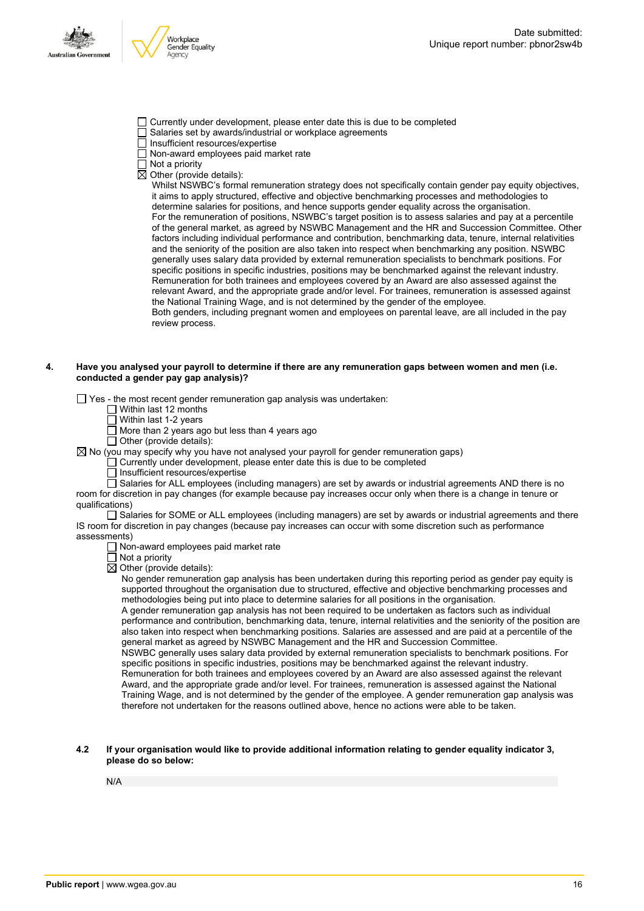

- Currently under development, please enter date this is due to be completed
- Salaries set by awards/industrial or workplace agreements
- $\overline{\Box}$  Insufficient resources/expertise
- Non-award employees paid market rate
- $\Box$  Not a priority

 $\overline{\boxtimes}$  Other (provide details):

Whilst NSWBC's formal remuneration strategy does not specifically contain gender pay equity objectives, it aims to apply structured, effective and objective benchmarking processes and methodologies to determine salaries for positions, and hence supports gender equality across the organisation. For the remuneration of positions, NSWBC's target position is to assess salaries and pay at a percentile of the general market, as agreed by NSWBC Management and the HR and Succession Committee. Other factors including individual performance and contribution, benchmarking data, tenure, internal relativities and the seniority of the position are also taken into respect when benchmarking any position. NSWBC generally uses salary data provided by external remuneration specialists to benchmark positions. For specific positions in specific industries, positions may be benchmarked against the relevant industry. Remuneration for both trainees and employees covered by an Award are also assessed against the relevant Award, and the appropriate grade and/or level. For trainees, remuneration is assessed against the National Training Wage, and is not determined by the gender of the employee. Both genders, including pregnant women and employees on parental leave, are all included in the pay review process.

#### 4. Have you analysed your payroll to determine if there are any remuneration gaps between women and men (i.e. **conducted a gender pay gap analysis)?**

 $\Box$  Yes - the most recent gender remuneration gap analysis was undertaken:

- $\Box$  Within last 12 months
- $\overline{\Box}$  Within last 1-2 years

 $\Box$  More than 2 years ago but less than 4 years ago

 $\Box$  Other (provide details):

 $\boxtimes$  No (you may specify why you have not analysed your payroll for gender remuneration gaps)

Currently under development, please enter date this is due to be completed

Insufficient resources/expertise

 $\Box$  Salaries for ALL employees (including managers) are set by awards or industrial agreements AND there is no room for discretion in pay changes (for example because pay increases occur only when there is a change in tenure or qualifications)

Salaries for SOME or ALL employees (including managers) are set by awards or industrial agreements and there IS room for discretion in pay changes (because pay increases can occur with some discretion such as performance assessments)

- Non-award employees paid market rate
- Not a priority
- $\boxtimes$  Other (provide details):

No gender remuneration gap analysis has been undertaken during this reporting period as gender pay equity is supported throughout the organisation due to structured, effective and objective benchmarking processes and methodologies being put into place to determine salaries for all positions in the organisation.

A gender remuneration gap analysis has not been required to be undertaken as factors such as individual performance and contribution, benchmarking data, tenure, internal relativities and the seniority of the position are also taken into respect when benchmarking positions. Salaries are assessed and are paid at a percentile of the general market as agreed by NSWBC Management and the HR and Succession Committee.

NSWBC generally uses salary data provided by external remuneration specialists to benchmark positions. For specific positions in specific industries, positions may be benchmarked against the relevant industry. Remuneration for both trainees and employees covered by an Award are also assessed against the relevant Award, and the appropriate grade and/or level. For trainees, remuneration is assessed against the National Training Wage, and is not determined by the gender of the employee. A gender remuneration gap analysis was therefore not undertaken for the reasons outlined above, hence no actions were able to be taken.

#### **4.2 If your organisation would like to provide additional information relating to gender equality indicator 3, please do so below:**

N/A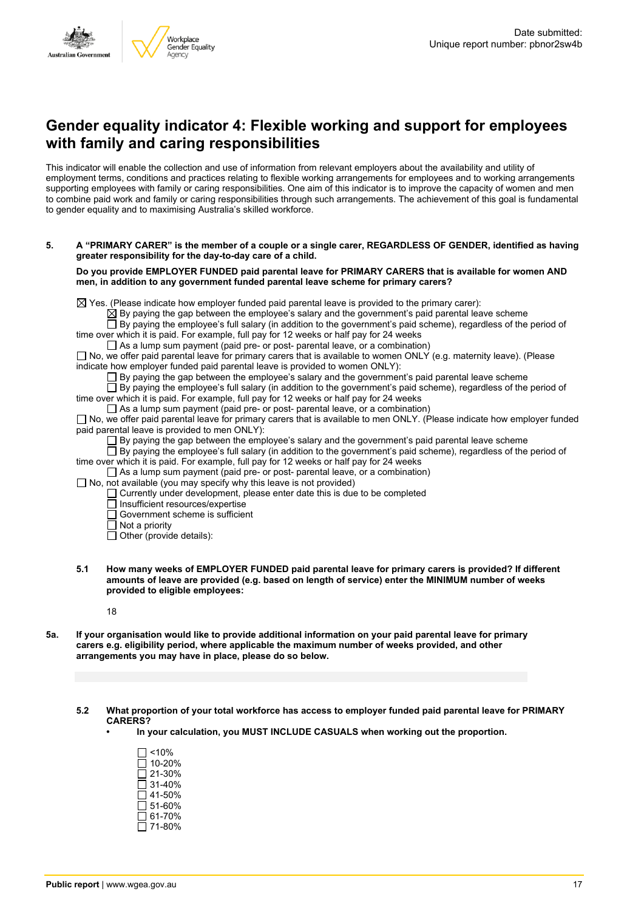



### **Gender equality indicator 4: Flexible working and support for employees with family and caring responsibilities**

This indicator will enable the collection and use of information from relevant employers about the availability and utility of employment terms, conditions and practices relating to flexible working arrangements for employees and to working arrangements supporting employees with family or caring responsibilities. One aim of this indicator is to improve the capacity of women and men to combine paid work and family or caring responsibilities through such arrangements. The achievement of this goal is fundamental to gender equality and to maximising Australia's skilled workforce.

5. A "PRIMARY CARER" is the member of a couple or a single carer, REGARDLESS OF GENDER, identified as having **greater responsibility for the day-to-day care of a child.**

**Do you provide EMPLOYER FUNDED paid parental leave for PRIMARY CARERS that is available for women AND men, in addition to any government funded parental leave scheme for primary carers?**

 $\boxtimes$  Yes. (Please indicate how employer funded paid parental leave is provided to the primary carer):

 $\boxtimes$  By paying the gap between the employee's salary and the government's paid parental leave scheme By paying the employee's full salary (in addition to the government's paid scheme), regardless of the period of

time over which it is paid. For example, full pay for 12 weeks or half pay for 24 weeks

 $\Box$  As a lump sum payment (paid pre- or post- parental leave, or a combination)

 $\Box$  No, we offer paid parental leave for primary carers that is available to women ONLY (e.g. maternity leave). (Please indicate how employer funded paid parental leave is provided to women ONLY):

By paying the gap between the employee's salary and the government's paid parental leave scheme

By paying the employee's full salary (in addition to the government's paid scheme), regardless of the period of time over which it is paid. For example, full pay for 12 weeks or half pay for 24 weeks

 $\Box$  As a lump sum payment (paid pre- or post- parental leave, or a combination)

 $\square$  No, we offer paid parental leave for primary carers that is available to men ONLY. (Please indicate how employer funded paid parental leave is provided to men ONLY):

 $\Box$  By paying the gap between the employee's salary and the government's paid parental leave scheme

 $\Box$  By paying the employee's full salary (in addition to the government's paid scheme), regardless of the period of time over which it is paid. For example, full pay for 12 weeks or half pay for 24 weeks

 $\Box$  As a lump sum payment (paid pre- or post- parental leave, or a combination)

 $\Box$  No, not available (you may specify why this leave is not provided)

Currently under development, please enter date this is due to be completed

 $\Box$  Insufficient resources/expertise

Government scheme is sufficient

 $\overline{\Box}$  Not a priority

 $\Box$  Other (provide details):

**5.1 How many weeks of EMPLOYER FUNDED paid parental leave for primary carers is provided? If different amounts of leave are provided (e.g. based on length of service) enter the MINIMUM number of weeks provided to eligible employees:**

18

- 5a. If your organisation would like to provide additional information on your paid parental leave for primary **carers e.g. eligibility period, where applicable the maximum number of weeks provided, and other arrangements you may have in place, please do so below.**
	- **5.2 What proportion of your total workforce has access to employer funded paid parental leave for PRIMARY CARERS?**
		- **• In your calculation, you MUST INCLUDE CASUALS when working out the proportion.**
			- $\square$  <10%  $\overline{\square}$  10-20%  $\square$  21-30%  $\Box$  31-40%  $\Box$  41-50%  $\overline{\Box}$  51-60%  $\Box$  61-70%  $\overline{\Box}$  71-80%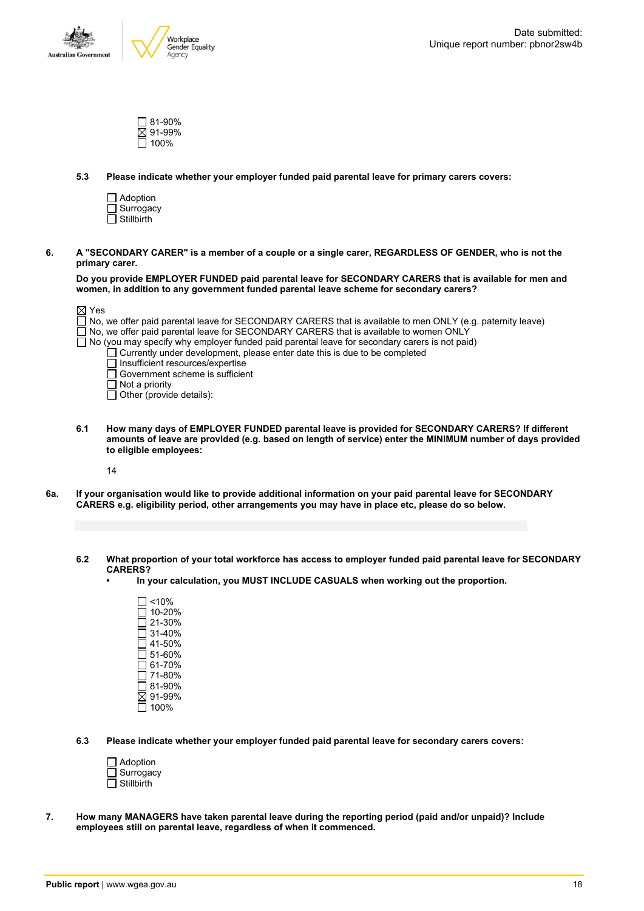

| ∏ 81-90% |
|----------|
| ⊠ 91-99% |
| □ 100%   |

**5.3 Please indicate whether your employer funded paid parental leave for primary carers covers:**

| $\Box$ Adoption   |
|-------------------|
| $\Box$ Surrogacy  |
| $\Box$ Stillbirth |

6. A "SECONDARY CARER" is a member of a couple or a single carer. REGARDLESS OF GENDER, who is not the **primary carer.**

**Do you provide EMPLOYER FUNDED paid parental leave for SECONDARY CARERS that is available for men and women, in addition to any government funded parental leave scheme for secondary carers?**

| $\boxtimes$ Yes                                                                                            |
|------------------------------------------------------------------------------------------------------------|
| No, we offer paid parental leave for SECONDARY CARERS that is available to men ONLY (e.g. paternity leave) |
| $\Box$ No, we offer paid parental leave for SECONDARY CARERS that is available to women ONLY               |
| $\Box$ No (you may specify why employer funded paid parental leave for secondary carers is not paid)       |
| $\Box$ Currently under development, please enter date this is due to be completed                          |
| Insufficient resources/expertise                                                                           |
| $\Box$ Government scheme is sufficient                                                                     |
| $\Box$ Not a priority                                                                                      |
| $\Box$ Other (provide details):                                                                            |

**6.1 How many days of EMPLOYER FUNDED parental leave is provided for SECONDARY CARERS? If different** amounts of leave are provided (e.g. based on length of service) enter the MINIMUM number of days provided **to eligible employees:**

14

- 6a. If your organisation would like to provide additional information on your paid parental leave for SECONDARY **CARERS e.g. eligibility period, other arrangements you may have in place etc, please do so below.**
	- 6.2 What proportion of your total workforce has access to employer funded paid parental leave for SECONDARY **CARERS?**
		- **• In your calculation, you MUST INCLUDE CASUALS when working out the proportion.**

 $\square$  <10%  $\overline{1}$  10-20%  $\overline{\square}$  21-30%  $\square$  31-40% 41-50% 51-60%  $\Box$  61-70%  $71-80%$ 81-90%  $\overline{\boxtimes}$  91-99%  $\Box$  100%

- **6.3 Please indicate whether your employer funded paid parental leave for secondary carers covers:**
	- □ Adoption Surrogacy  $\Box$  Stillbirth
- **7. How many MANAGERS have taken parental leave during the reporting period (paid and/or unpaid)? Include employees still on parental leave, regardless of when it commenced.**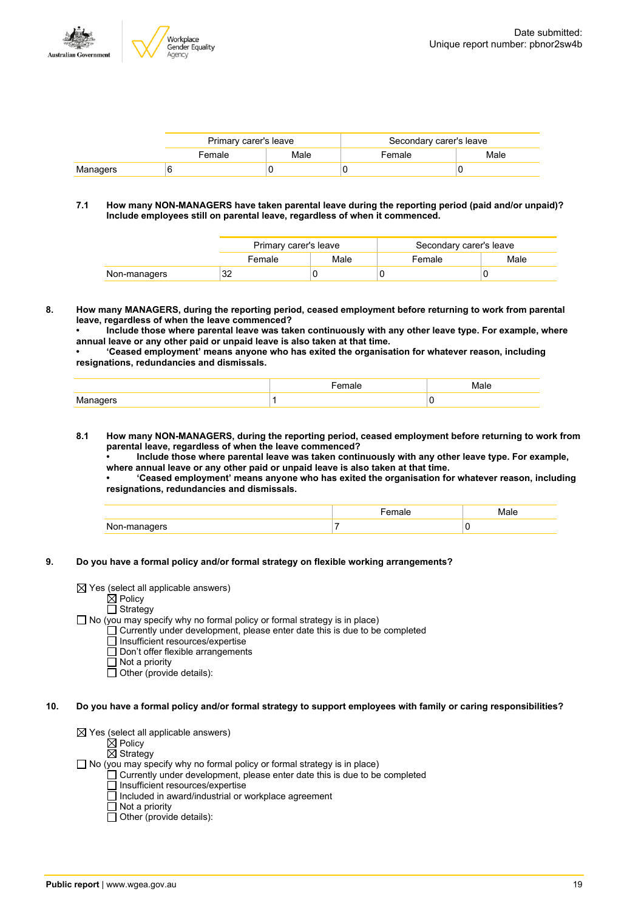

|          | Primary carer's leave |      | Secondary carer's leave |      |
|----------|-----------------------|------|-------------------------|------|
|          | Female                | Male | Female                  | Male |
| Managers |                       |      |                         |      |

#### **7.1 How many NON-MANAGERS have taken parental leave during the reporting period (paid and/or unpaid)? Include employees still on parental leave, regardless of when it commenced.**

|              | Primary carer's leave |      | Secondary carer's leave |      |
|--------------|-----------------------|------|-------------------------|------|
|              | Female                | Male | Female                  | Male |
| Non-managers | 32                    |      |                         |      |

**8. How many MANAGERS, during the reporting period, ceased employment before returning to work from parental leave, regardless of when the leave commenced?**

**• Include those where parental leave was taken continuously with any other leave type. For example, where annual leave or any other paid or unpaid leave is also taken at that time.**

**• 'Ceased employment' means anyone who has exited the organisation for whatever reason, including resignations, redundancies and dismissals.**

**8.1 How many NON-MANAGERS, during the reporting period, ceased employment before returning to work from parental leave, regardless of when the leave commenced?**

**• Include those where parental leave was taken continuously with any other leave type. For example, where annual leave or any other paid or unpaid leave is also taken at that time.**

**• 'Ceased employment' means anyone who has exited the organisation for whatever reason, including resignations, redundancies and dismissals.**

| . | $\sim$ $-$ | л. |
|---|------------|----|

#### **9. Do you have a formal policy and/or formal strategy on flexible working arrangements?**

 $\boxtimes$  Yes (select all applicable answers)

 $\mathsf{\dot{M}}$  Policy

 $\Box$  Strategy

 $\Box$  No (you may specify why no formal policy or formal strategy is in place)

- $\Box$  Currently under development, please enter date this is due to be completed
	- $\overline{\Box}$  Insufficient resources/expertise
	- Don't offer flexible arrangements
	- $\Box$  Not a priority
	- $\Box$  Other (provide details):
- 10. Do you have a formal policy and/or formal strategy to support employees with family or caring responsibilities?

 $\boxtimes$  Yes (select all applicable answers)

- $\boxtimes$  Policy
- $\overline{\boxtimes}$  Strategy

 $\Box$  No (you may specify why no formal policy or formal strategy is in place)

- $\Box$  Currently under development, please enter date this is due to be completed
- $\Box$  Insufficient resources/expertise
- Included in award/industrial or workplace agreement
- Not a priority
- $\Box$  Other (provide details):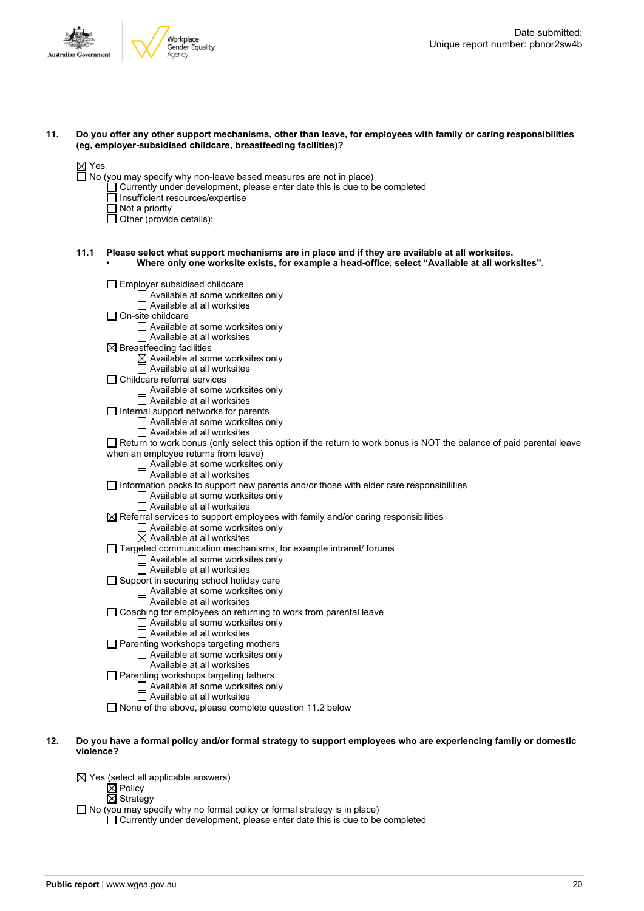



11. Do you offer any other support mechanisms, other than leave, for employees with family or caring responsibilities **(eg, employer-subsidised childcare, breastfeeding facilities)?**

#### $\boxtimes$  Yes

- $\Box$  No (you may specify why non-leave based measures are not in place)
	- $\Box$  Currently under development, please enter date this is due to be completed
	- $\overline{\Box}$  Insufficient resources/expertise
	- $\Box$  Not a priority
	- $\Box$  Other (provide details):
- **11.1 Please select what support mechanisms are in place and if they are available at all worksites. • Where only one worksite exists, for example a head-office, select "Available at all worksites".**
	- $\Box$  Employer subsidised childcare  $\Box$  Available at some worksites only  $\Box$  Available at all worksites  $\Box$  On-site childcare □ Available at some worksites only  $\overline{\Box}$  Available at all worksites  $\boxtimes$  Breastfeeding facilities  $\boxtimes$  Available at some worksites only  $\overline{\Box}$  Available at all worksites  $\Box$  Childcare referral services Available at some worksites only Available at all worksites  $\Box$  Internal support networks for parents Available at some worksites only  $\overline{\Box}$  Available at all worksites  $\Box$  Return to work bonus (only select this option if the return to work bonus is NOT the balance of paid parental leave when an employee returns from leave) □ Available at some worksites only  $\Box$  Available at all worksites  $\Box$  Information packs to support new parents and/or those with elder care responsibilities  $\square$  Available at some worksites only  $\Box$  Available at all worksites  $\overline{\boxtimes}$  Referral services to support employees with family and/or caring responsibilities Available at some worksites only  $\overline{\boxtimes}$  Available at all worksites  $\Box$  Targeted communication mechanisms, for example intranet/ forums Available at some worksites only Available at all worksites  $\Box$  Support in securing school holiday care □ Available at some worksites only  $\Box$  Available at all worksites  $\Box$  Coaching for employees on returning to work from parental leave  $\Box$  Available at some worksites only □ Available at all worksites  $\Box$  Parenting workshops targeting mothers Available at some worksites only  $\Box$  Available at all worksites  $\Box$  Parenting workshops targeting fathers Available at some worksites only Available at all worksites  $\Box$  None of the above, please complete question 11.2 below
- 12. Do vou have a formal policy and/or formal strategy to support employees who are experiencing family or domestic **violence?**
	- $\boxtimes$  Yes (select all applicable answers)
		- $\dot{\boxtimes}$  Policy
			- $\overline{\boxtimes}$  Strategy
	- No (you may specify why no formal policy or formal strategy is in place)
		- $\Box$  Currently under development, please enter date this is due to be completed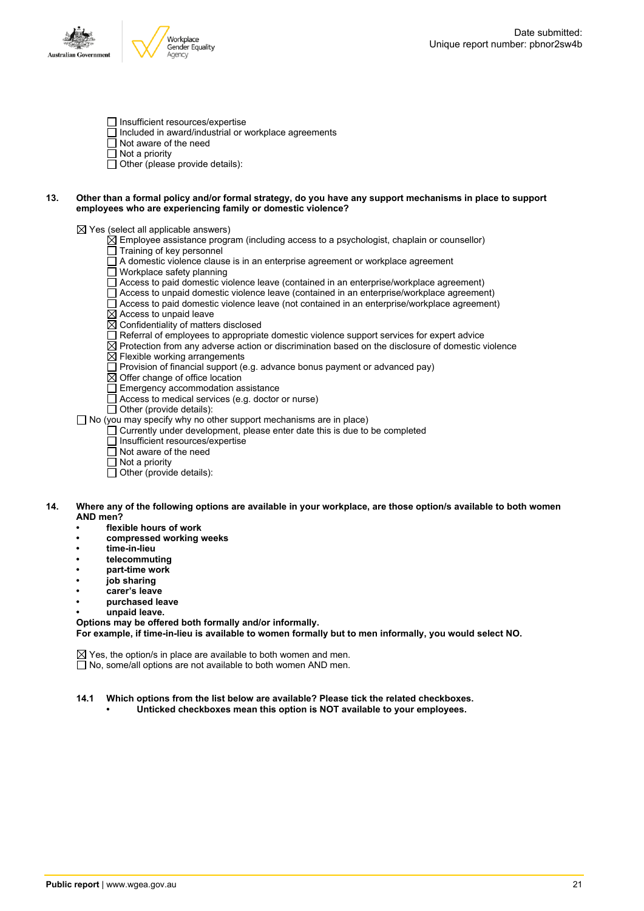



- Insufficient resources/expertise
- $\Box$  Included in award/industrial or workplace agreements
- $\overline{\Box}$  Not aware of the need
- $\Box$  Not a priority
- $\Box$  Other (please provide details):

#### 13. Other than a formal policy and/or formal strategy, do you have any support mechanisms in place to support **employees who are experiencing family or domestic violence?**

 $\boxtimes$  Yes (select all applicable answers)

- $\boxtimes$  Employee assistance program (including access to a psychologist, chaplain or counsellor)
- Training of key personnel
- A domestic violence clause is in an enterprise agreement or workplace agreement
- Workplace safety planning
- $\Box$  Access to paid domestic violence leave (contained in an enterprise/workplace agreement)
- Access to unpaid domestic violence leave (contained in an enterprise/workplace agreement)
- Access to paid domestic violence leave (not contained in an enterprise/workplace agreement)
- $\overline{\boxtimes}$  Access to unpaid leave
- $\overline{\boxtimes}$  Confidentiality of matters disclosed
- $\overline{\Box}$  Referral of employees to appropriate domestic violence support services for expert advice
- $\boxtimes$  Protection from any adverse action or discrimination based on the disclosure of domestic violence
- $\overline{\boxtimes}$  Flexible working arrangements
- $\Box$  Provision of financial support (e.g. advance bonus payment or advanced pay)
- $\overline{\boxtimes}$  Offer change of office location
- $\Box$  Emergency accommodation assistance
- Access to medical services (e.g. doctor or nurse)
- $\Box$  Other (provide details):
- No (you may specify why no other support mechanisms are in place)
	- $\Box$  Currently under development, please enter date this is due to be completed
	- $\overline{\Box}$  Insufficient resources/expertise
	- $\Box$  Not aware of the need
	- $\Box$  Not a priority
	- $\Box$  Other (provide details):

#### 14. Where any of the following options are available in your workplace, are those option/s available to both women **AND men?**

- **• flexible hours of work**
- **• compressed working weeks**
- **• time-in-lieu**
- **• telecommuting**
- **• part-time work**
- **• job sharing**
- **• carer's leave**
- **• purchased leave**
- **• unpaid leave.**

**Options may be offered both formally and/or informally.**

**For example, if time-in-lieu is available to women formally but to men informally, you would select NO.**

 $\boxtimes$  Yes, the option/s in place are available to both women and men.  $\Box$  No, some/all options are not available to both women AND men.

- **14.1 Which options from the list below are available? Please tick the related checkboxes.**
	- **• Unticked checkboxes mean this option is NOT available to your employees.**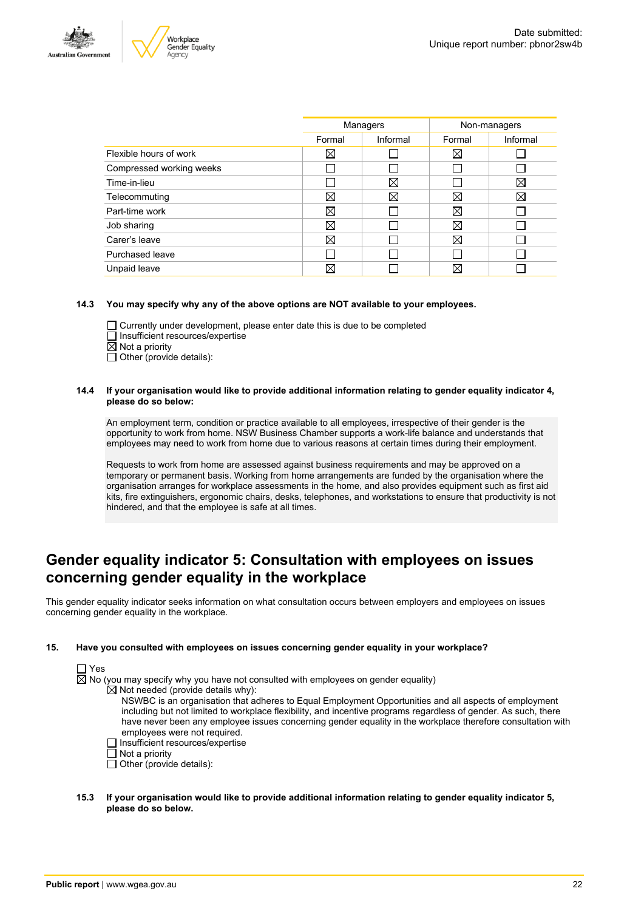



| Managers |          | Non-managers |          |
|----------|----------|--------------|----------|
| Formal   | Informal | Formal       | Informal |
| ⊠        |          | X            |          |
|          |          |              |          |
|          | ⊠        |              | X        |
| ⊠        | ⋈        | ⊠            | X        |
| ⊠        |          | $\boxtimes$  |          |
| ⊠        |          | X            |          |
| ⊠        |          | X            |          |
|          |          |              |          |
|          |          | Χ            |          |
|          |          |              |          |

#### **14.3 You may specify why any of the above options are NOT available to your employees.**

 $\Box$  Currently under development, please enter date this is due to be completed  $\Box$  Insufficient resources/expertise  $\overline{\boxtimes}$  Not a priority

 $\Box$  Other (provide details):

#### **14.4 If your organisation would like to provide additional information relating to gender equality indicator 4, please do so below:**

An employment term, condition or practice available to all employees, irrespective of their gender is the opportunity to work from home. NSW Business Chamber supports a work-life balance and understands that employees may need to work from home due to various reasons at certain times during their employment.

Requests to work from home are assessed against business requirements and may be approved on a temporary or permanent basis. Working from home arrangements are funded by the organisation where the organisation arranges for workplace assessments in the home, and also provides equipment such as first aid kits, fire extinguishers, ergonomic chairs, desks, telephones, and workstations to ensure that productivity is not hindered, and that the employee is safe at all times.

### **Gender equality indicator 5: Consultation with employees on issues concerning gender equality in the workplace**

This gender equality indicator seeks information on what consultation occurs between employers and employees on issues concerning gender equality in the workplace.

#### **15. Have you consulted with employees on issues concerning gender equality in your workplace?**



 $\boxtimes$  No (you may specify why you have not consulted with employees on gender equality)

 $\overline{\boxtimes}$  Not needed (provide details why):

- NSWBC is an organisation that adheres to Equal Employment Opportunities and all aspects of employment including but not limited to workplace flexibility, and incentive programs regardless of gender. As such, there have never been any employee issues concerning gender equality in the workplace therefore consultation with employees were not required.
- □ Insufficient resources/expertise
- $\Box$  Not a priority
- $\Box$  Other (provide details):
- **15.3 If your organisation would like to provide additional information relating to gender equality indicator 5, please do so below.**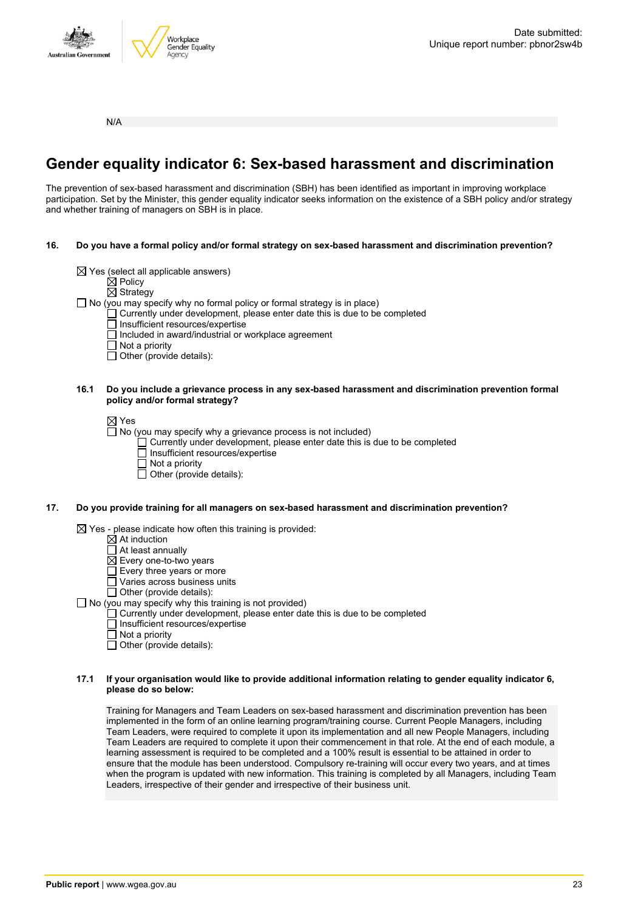



N/A

# **Gender equality indicator 6: Sex-based harassment and discrimination**

The prevention of sex-based harassment and discrimination (SBH) has been identified as important in improving workplace participation. Set by the Minister, this gender equality indicator seeks information on the existence of a SBH policy and/or strategy and whether training of managers on SBH is in place.

- **16. Do you have a formal policy and/or formal strategy on sex-based harassment and discrimination prevention?**
	- $\boxtimes$  Yes (select all applicable answers)
		- $\boxtimes$  Policy
		- $\overline{\boxtimes}$  Strategy

 $\Box$  No (you may specify why no formal policy or formal strategy is in place)

- $\Box$  Currently under development, please enter date this is due to be completed
	- □ Insufficient resources/expertise
	- Included in award/industrial or workplace agreement
	- $\Box$  Not a priority
	- $\Box$  Other (provide details):

#### **16.1 Do you include a grievance process in any sex-based harassment and discrimination prevention formal policy and/or formal strategy?**

⊠ Yes

 $\overline{\Box}$  No (you may specify why a grievance process is not included)

- Currently under development, please enter date this is due to be completed
- $\Box$  Insufficient resources/expertise
- $\Box$  Not a priority
- $\overline{\Box}$  Other (provide details):

#### **17. Do you provide training for all managers on sex-based harassment and discrimination prevention?**

 $\boxtimes$  Yes - please indicate how often this training is provided:

- $\overline{\boxtimes}$  At induction
- $\overline{\Box}$  At least annually
- $\boxtimes$  Every one-to-two years
- Every three years or more
- Varies across business units
- $\Box$  Other (provide details):
- $\Box$  No (you may specify why this training is not provided)
	- $\Box$  Currently under development, please enter date this is due to be completed
		- Insufficient resources/expertise
		- $\Box$  Not a priority
		- $\Box$  Other (provide details):

#### **17.1 If your organisation would like to provide additional information relating to gender equality indicator 6, please do so below:**

Training for Managers and Team Leaders on sex-based harassment and discrimination prevention has been implemented in the form of an online learning program/training course. Current People Managers, including Team Leaders, were required to complete it upon its implementation and all new People Managers, including Team Leaders are required to complete it upon their commencement in that role. At the end of each module, a learning assessment is required to be completed and a 100% result is essential to be attained in order to ensure that the module has been understood. Compulsory re-training will occur every two years, and at times when the program is updated with new information. This training is completed by all Managers, including Team Leaders, irrespective of their gender and irrespective of their business unit.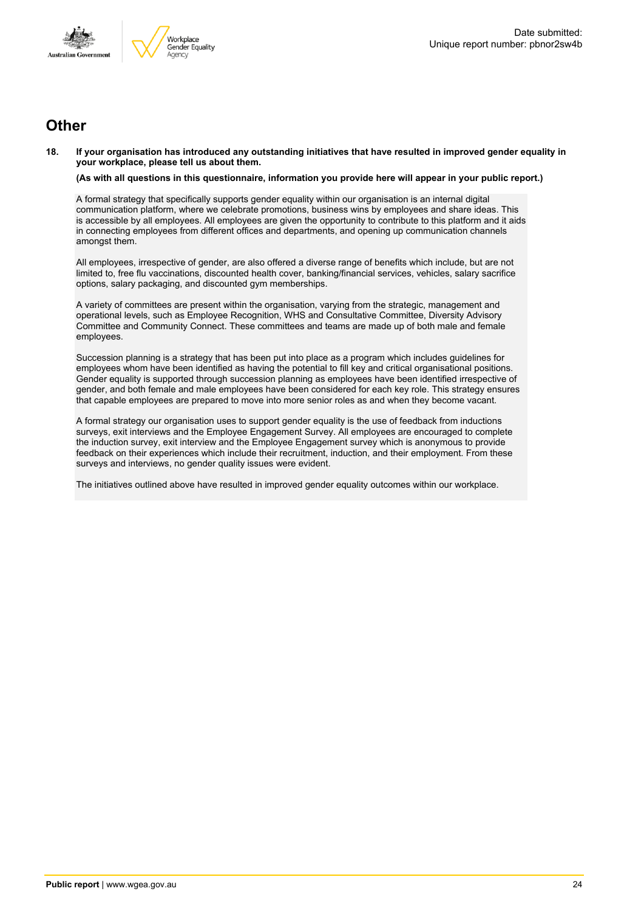



### **Other**

18. If your organisation has introduced any outstanding initiatives that have resulted in improved gender equality in **your workplace, please tell us about them.**

(As with all questions in this questionnaire, information you provide here will appear in your public report.)

A formal strategy that specifically supports gender equality within our organisation is an internal digital communication platform, where we celebrate promotions, business wins by employees and share ideas. This is accessible by all employees. All employees are given the opportunity to contribute to this platform and it aids in connecting employees from different offices and departments, and opening up communication channels amongst them.

All employees, irrespective of gender, are also offered a diverse range of benefits which include, but are not limited to, free flu vaccinations, discounted health cover, banking/financial services, vehicles, salary sacrifice options, salary packaging, and discounted gym memberships.

A variety of committees are present within the organisation, varying from the strategic, management and operational levels, such as Employee Recognition, WHS and Consultative Committee, Diversity Advisory Committee and Community Connect. These committees and teams are made up of both male and female employees.

Succession planning is a strategy that has been put into place as a program which includes guidelines for employees whom have been identified as having the potential to fill key and critical organisational positions. Gender equality is supported through succession planning as employees have been identified irrespective of gender, and both female and male employees have been considered for each key role. This strategy ensures that capable employees are prepared to move into more senior roles as and when they become vacant.

A formal strategy our organisation uses to support gender equality is the use of feedback from inductions surveys, exit interviews and the Employee Engagement Survey. All employees are encouraged to complete the induction survey, exit interview and the Employee Engagement survey which is anonymous to provide feedback on their experiences which include their recruitment, induction, and their employment. From these surveys and interviews, no gender quality issues were evident.

The initiatives outlined above have resulted in improved gender equality outcomes within our workplace.